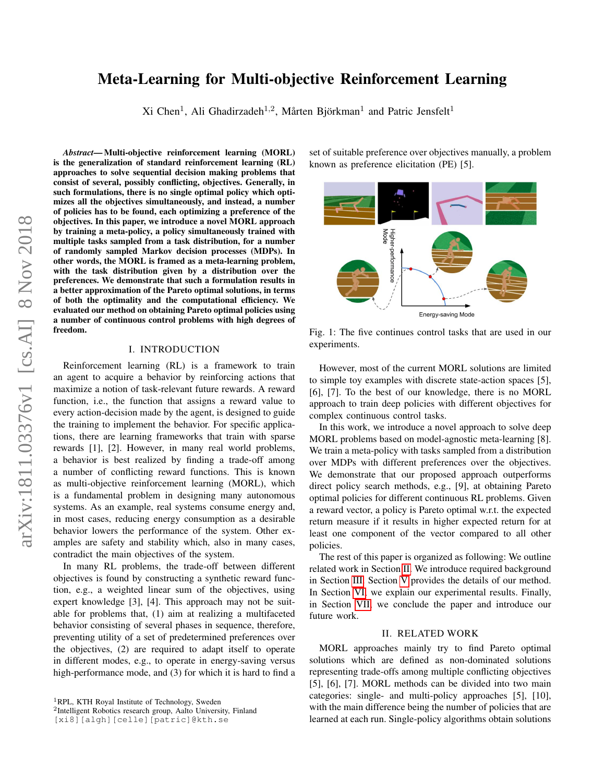# Meta-Learning for Multi-objective Reinforcement Learning

Xi Chen<sup>1</sup>, Ali Ghadirzadeh<sup>1,2</sup>, Mårten Björkman<sup>1</sup> and Patric Jensfelt<sup>1</sup>

*Abstract*— Multi-objective reinforcement learning (MORL) is the generalization of standard reinforcement learning (RL) approaches to solve sequential decision making problems that consist of several, possibly conflicting, objectives. Generally, in such formulations, there is no single optimal policy which optimizes all the objectives simultaneously, and instead, a number of policies has to be found, each optimizing a preference of the objectives. In this paper, we introduce a novel MORL approach by training a meta-policy, a policy simultaneously trained with multiple tasks sampled from a task distribution, for a number of randomly sampled Markov decision processes (MDPs). In other words, the MORL is framed as a meta-learning problem, with the task distribution given by a distribution over the preferences. We demonstrate that such a formulation results in a better approximation of the Pareto optimal solutions, in terms of both the optimality and the computational efficiency. We evaluated our method on obtaining Pareto optimal policies using a number of continuous control problems with high degrees of freedom.

## I. INTRODUCTION

Reinforcement learning (RL) is a framework to train an agent to acquire a behavior by reinforcing actions that maximize a notion of task-relevant future rewards. A reward function, i.e., the function that assigns a reward value to every action-decision made by the agent, is designed to guide the training to implement the behavior. For specific applications, there are learning frameworks that train with sparse rewards [1], [2]. However, in many real world problems, a behavior is best realized by finding a trade-off among a number of conflicting reward functions. This is known as multi-objective reinforcement learning (MORL), which is a fundamental problem in designing many autonomous systems. As an example, real systems consume energy and, in most cases, reducing energy consumption as a desirable behavior lowers the performance of the system. Other examples are safety and stability which, also in many cases, contradict the main objectives of the system.

In many RL problems, the trade-off between different objectives is found by constructing a synthetic reward function, e.g., a weighted linear sum of the objectives, using expert knowledge [3], [4]. This approach may not be suitable for problems that, (1) aim at realizing a multifaceted behavior consisting of several phases in sequence, therefore, preventing utility of a set of predetermined preferences over the objectives, (2) are required to adapt itself to operate in different modes, e.g., to operate in energy-saving versus high-performance mode, and (3) for which it is hard to find a set of suitable preference over objectives manually, a problem known as preference elicitation (PE) [5].

<span id="page-0-1"></span>

Fig. 1: The five continues control tasks that are used in our experiments.

However, most of the current MORL solutions are limited to simple toy examples with discrete state-action spaces [5], [6], [7]. To the best of our knowledge, there is no MORL approach to train deep policies with different objectives for complex continuous control tasks.

In this work, we introduce a novel approach to solve deep MORL problems based on model-agnostic meta-learning [8]. We train a meta-policy with tasks sampled from a distribution over MDPs with different preferences over the objectives. We demonstrate that our proposed approach outperforms direct policy search methods, e.g., [9], at obtaining Pareto optimal policies for different continuous RL problems. Given a reward vector, a policy is Pareto optimal w.r.t. the expected return measure if it results in higher expected return for at least one component of the vector compared to all other policies.

The rest of this paper is organized as following: We outline related work in Section [II.](#page-0-0) We introduce required background in Section [III.](#page-1-0) Section [V](#page-2-0) provides the details of our method. In Section [VI,](#page-3-0) we explain our experimental results. Finally, in Section [VII,](#page-5-0) we conclude the paper and introduce our future work.

## II. RELATED WORK

<span id="page-0-0"></span>MORL approaches mainly try to find Pareto optimal solutions which are defined as non-dominated solutions representing trade-offs among multiple conflicting objectives [5], [6], [7]. MORL methods can be divided into two main categories: single- and multi-policy approaches [5], [10], with the main difference being the number of policies that are learned at each run. Single-policy algorithms obtain solutions

<sup>&</sup>lt;sup>1</sup>RPL, KTH Royal Institute of Technology, Sweden

<sup>2</sup> Intelligent Robotics research group, Aalto University, Finland

<sup>[</sup>xi8][algh][celle][patric]@kth.se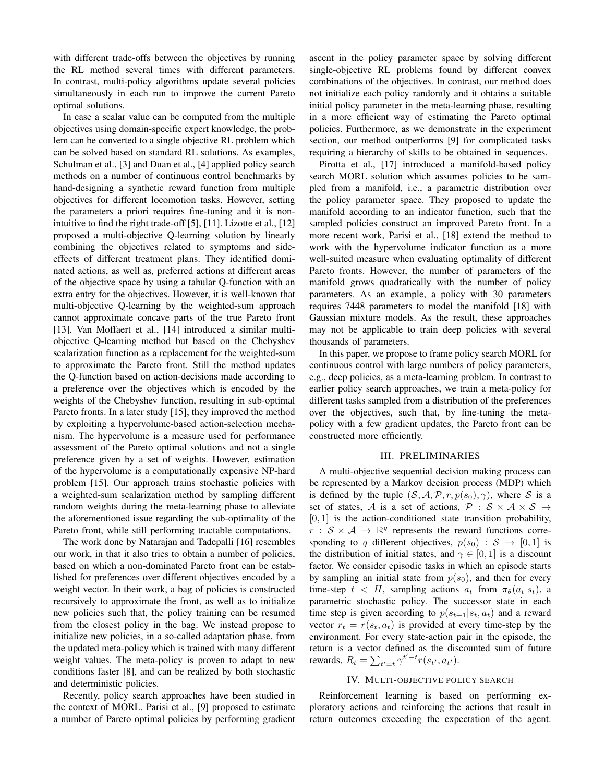with different trade-offs between the objectives by running the RL method several times with different parameters. In contrast, multi-policy algorithms update several policies simultaneously in each run to improve the current Pareto optimal solutions.

In case a scalar value can be computed from the multiple objectives using domain-specific expert knowledge, the problem can be converted to a single objective RL problem which can be solved based on standard RL solutions. As examples, Schulman et al., [3] and Duan et al., [4] applied policy search methods on a number of continuous control benchmarks by hand-designing a synthetic reward function from multiple objectives for different locomotion tasks. However, setting the parameters a priori requires fine-tuning and it is nonintuitive to find the right trade-off [5], [11]. Lizotte et al., [12] proposed a multi-objective Q-learning solution by linearly combining the objectives related to symptoms and sideeffects of different treatment plans. They identified dominated actions, as well as, preferred actions at different areas of the objective space by using a tabular Q-function with an extra entry for the objectives. However, it is well-known that multi-objective Q-learning by the weighted-sum approach cannot approximate concave parts of the true Pareto front [13]. Van Moffaert et al., [14] introduced a similar multiobjective Q-learning method but based on the Chebyshev scalarization function as a replacement for the weighted-sum to approximate the Pareto front. Still the method updates the Q-function based on action-decisions made according to a preference over the objectives which is encoded by the weights of the Chebyshev function, resulting in sub-optimal Pareto fronts. In a later study [15], they improved the method by exploiting a hypervolume-based action-selection mechanism. The hypervolume is a measure used for performance assessment of the Pareto optimal solutions and not a single preference given by a set of weights. However, estimation of the hypervolume is a computationally expensive NP-hard problem [15]. Our approach trains stochastic policies with a weighted-sum scalarization method by sampling different random weights during the meta-learning phase to alleviate the aforementioned issue regarding the sub-optimality of the Pareto front, while still performing tractable computations.

The work done by Natarajan and Tadepalli [16] resembles our work, in that it also tries to obtain a number of policies, based on which a non-dominated Pareto front can be established for preferences over different objectives encoded by a weight vector. In their work, a bag of policies is constructed recursively to approximate the front, as well as to initialize new policies such that, the policy training can be resumed from the closest policy in the bag. We instead propose to initialize new policies, in a so-called adaptation phase, from the updated meta-policy which is trained with many different weight values. The meta-policy is proven to adapt to new conditions faster [8], and can be realized by both stochastic and deterministic policies.

Recently, policy search approaches have been studied in the context of MORL. Parisi et al., [9] proposed to estimate a number of Pareto optimal policies by performing gradient

ascent in the policy parameter space by solving different single-objective RL problems found by different convex combinations of the objectives. In contrast, our method does not initialize each policy randomly and it obtains a suitable initial policy parameter in the meta-learning phase, resulting in a more efficient way of estimating the Pareto optimal policies. Furthermore, as we demonstrate in the experiment section, our method outperforms [9] for complicated tasks requiring a hierarchy of skills to be obtained in sequences.

Pirotta et al., [17] introduced a manifold-based policy search MORL solution which assumes policies to be sampled from a manifold, i.e., a parametric distribution over the policy parameter space. They proposed to update the manifold according to an indicator function, such that the sampled policies construct an improved Pareto front. In a more recent work, Parisi et al., [18] extend the method to work with the hypervolume indicator function as a more well-suited measure when evaluating optimality of different Pareto fronts. However, the number of parameters of the manifold grows quadratically with the number of policy parameters. As an example, a policy with 30 parameters requires 7448 parameters to model the manifold [18] with Gaussian mixture models. As the result, these approaches may not be applicable to train deep policies with several thousands of parameters.

In this paper, we propose to frame policy search MORL for continuous control with large numbers of policy parameters, e.g., deep policies, as a meta-learning problem. In contrast to earlier policy search approaches, we train a meta-policy for different tasks sampled from a distribution of the preferences over the objectives, such that, by fine-tuning the metapolicy with a few gradient updates, the Pareto front can be constructed more efficiently.

## III. PRELIMINARIES

<span id="page-1-0"></span>A multi-objective sequential decision making process can be represented by a Markov decision process (MDP) which is defined by the tuple  $(S, A, P, r, p(s_0), \gamma)$ , where S is a set of states, A is a set of actions,  $P : S \times A \times S \rightarrow$  $[0, 1]$  is the action-conditioned state transition probability,  $r : \mathcal{S} \times \mathcal{A} \rightarrow \mathbb{R}^q$  represents the reward functions corresponding to q different objectives,  $p(s_0) : S \rightarrow [0,1]$  is the distribution of initial states, and  $\gamma \in [0, 1]$  is a discount factor. We consider episodic tasks in which an episode starts by sampling an initial state from  $p(s_0)$ , and then for every time-step  $t < H$ , sampling actions  $a_t$  from  $\pi_\theta(a_t|s_t)$ , a parametric stochastic policy. The successor state in each time step is given according to  $p(s_{t+1}|s_t, a_t)$  and a reward vector  $r_t = r(s_t, a_t)$  is provided at every time-step by the environment. For every state-action pair in the episode, the return is a vector defined as the discounted sum of future rewards,  $R_t = \sum_{t'=t} \gamma^{t'-t} r(s_{t'}, a_{t'}).$ 

## IV. MULTI-OBJECTIVE POLICY SEARCH

Reinforcement learning is based on performing exploratory actions and reinforcing the actions that result in return outcomes exceeding the expectation of the agent.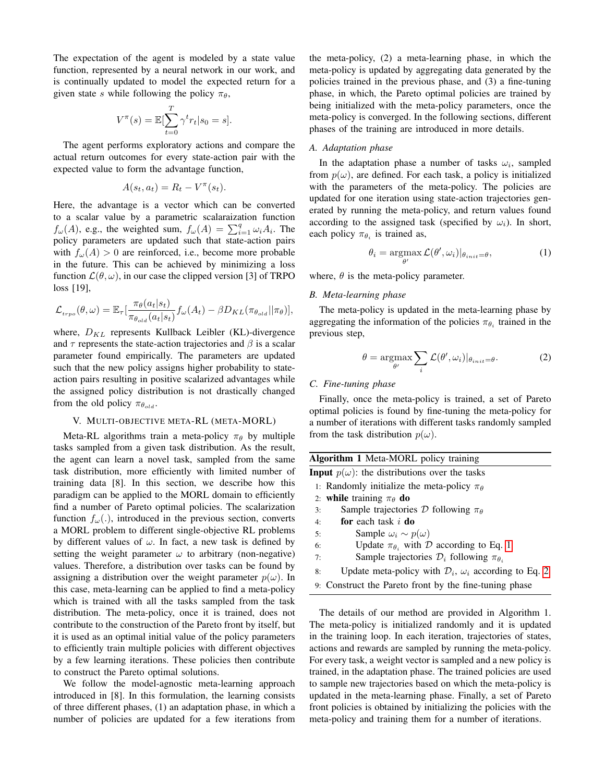The expectation of the agent is modeled by a state value function, represented by a neural network in our work, and is continually updated to model the expected return for a given state s while following the policy  $\pi_{\theta}$ ,

$$
V^{\pi}(s) = \mathbb{E}[\sum_{t=0}^{T} \gamma^{t} r_{t} | s_{0} = s].
$$

The agent performs exploratory actions and compare the actual return outcomes for every state-action pair with the expected value to form the advantage function,

$$
A(s_t, a_t) = R_t - V^{\pi}(s_t).
$$

Here, the advantage is a vector which can be converted to a scalar value by a parametric scalaraization function  $f_{\omega}(A)$ , e.g., the weighted sum,  $f_{\omega}(A) = \sum_{i=1}^{q} \omega_i A_i$ . The policy parameters are updated such that state-action pairs with  $f_{\omega}(A) > 0$  are reinforced, i.e., become more probable in the future. This can be achieved by minimizing a loss function  $\mathcal{L}(\theta, \omega)$ , in our case the clipped version [3] of TRPO loss [19],

$$
\mathcal{L}_{t_{rpo}}(\theta,\omega) = \mathbb{E}_{\tau} \left[ \frac{\pi_{\theta}(a_t|s_t)}{\pi_{\theta_{old}}(a_t|s_t)} f_{\omega}(A_t) - \beta D_{KL}(\pi_{\theta_{old}} || \pi_{\theta}) \right],
$$

where,  $D_{KL}$  represents Kullback Leibler (KL)-divergence and  $\tau$  represents the state-action trajectories and  $\beta$  is a scalar parameter found empirically. The parameters are updated such that the new policy assigns higher probability to stateaction pairs resulting in positive scalarized advantages while the assigned policy distribution is not drastically changed from the old policy  $\pi_{\theta_{old}}$ .

## V. MULTI-OBJECTIVE META-RL (META-MORL)

<span id="page-2-0"></span>Meta-RL algorithms train a meta-policy  $\pi_{\theta}$  by multiple tasks sampled from a given task distribution. As the result, the agent can learn a novel task, sampled from the same task distribution, more efficiently with limited number of training data [8]. In this section, we describe how this paradigm can be applied to the MORL domain to efficiently find a number of Pareto optimal policies. The scalarization function  $f_{\omega}$ (.), introduced in the previous section, converts a MORL problem to different single-objective RL problems by different values of  $\omega$ . In fact, a new task is defined by setting the weight parameter  $\omega$  to arbitrary (non-negative) values. Therefore, a distribution over tasks can be found by assigning a distribution over the weight parameter  $p(\omega)$ . In this case, meta-learning can be applied to find a meta-policy which is trained with all the tasks sampled from the task distribution. The meta-policy, once it is trained, does not contribute to the construction of the Pareto front by itself, but it is used as an optimal initial value of the policy parameters to efficiently train multiple policies with different objectives by a few learning iterations. These policies then contribute to construct the Pareto optimal solutions.

We follow the model-agnostic meta-learning approach introduced in [8]. In this formulation, the learning consists of three different phases, (1) an adaptation phase, in which a number of policies are updated for a few iterations from

the meta-policy, (2) a meta-learning phase, in which the meta-policy is updated by aggregating data generated by the policies trained in the previous phase, and (3) a fine-tuning phase, in which, the Pareto optimal policies are trained by being initialized with the meta-policy parameters, once the meta-policy is converged. In the following sections, different phases of the training are introduced in more details.

#### *A. Adaptation phase*

In the adaptation phase a number of tasks  $\omega_i$ , sampled from  $p(\omega)$ , are defined. For each task, a policy is initialized with the parameters of the meta-policy. The policies are updated for one iteration using state-action trajectories generated by running the meta-policy, and return values found according to the assigned task (specified by  $\omega_i$ ). In short, each policy  $\pi_{\theta_i}$  is trained as,

<span id="page-2-1"></span>
$$
\theta_i = \underset{\theta'}{\operatorname{argmax}} \mathcal{L}(\theta', \omega_i)|_{\theta_{init} = \theta},\tag{1}
$$

where,  $\theta$  is the meta-policy parameter.

## *B. Meta-learning phase*

The meta-policy is updated in the meta-learning phase by aggregating the information of the policies  $\pi_{\theta_i}$  trained in the previous step,

<span id="page-2-2"></span>
$$
\theta = \underset{\theta'}{\operatorname{argmax}} \sum_{i} \mathcal{L}(\theta', \omega_i)|_{\theta_{init} = \theta}.
$$
 (2)

## *C. Fine-tuning phase*

Finally, once the meta-policy is trained, a set of Pareto optimal policies is found by fine-tuning the meta-policy for a number of iterations with different tasks randomly sampled from the task distribution  $p(\omega)$ .

| <b>Algorithm 1</b> Meta-MORL policy training                                  |  |  |
|-------------------------------------------------------------------------------|--|--|
| <b>Input</b> $p(\omega)$ : the distributions over the tasks                   |  |  |
| 1: Randomly initialize the meta-policy $\pi_{\theta}$                         |  |  |
| 2: while training $\pi_{\theta}$ do                                           |  |  |
| Sample trajectories D following $\pi_{\theta}$<br>3:                          |  |  |
| <b>for</b> each task $i$ <b>do</b><br>4:                                      |  |  |
| Sample $\omega_i \sim p(\omega)$<br>5:                                        |  |  |
| Update $\pi_{\theta_i}$ with D according to Eq. 1<br>6:                       |  |  |
| Sample trajectories $\mathcal{D}_i$ following $\pi_{\theta_i}$<br>7:          |  |  |
| Update meta-policy with $\mathcal{D}_i$ , $\omega_i$ according to Eq. 2<br>8: |  |  |
| 9: Construct the Pareto front by the fine-tuning phase                        |  |  |

The details of our method are provided in Algorithm 1. The meta-policy is initialized randomly and it is updated in the training loop. In each iteration, trajectories of states, actions and rewards are sampled by running the meta-policy. For every task, a weight vector is sampled and a new policy is trained, in the adaptation phase. The trained policies are used to sample new trajectories based on which the meta-policy is updated in the meta-learning phase. Finally, a set of Pareto front policies is obtained by initializing the policies with the meta-policy and training them for a number of iterations.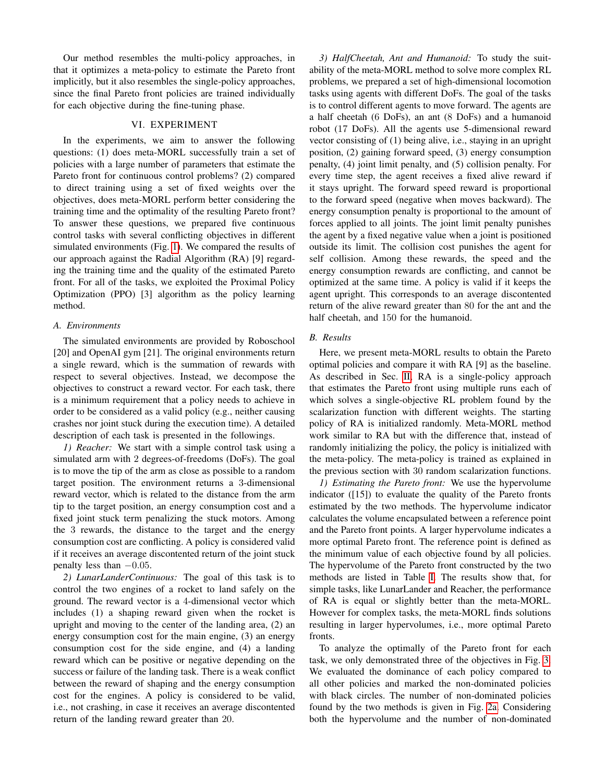Our method resembles the multi-policy approaches, in that it optimizes a meta-policy to estimate the Pareto front implicitly, but it also resembles the single-policy approaches, since the final Pareto front policies are trained individually for each objective during the fine-tuning phase.

# VI. EXPERIMENT

<span id="page-3-0"></span>In the experiments, we aim to answer the following questions: (1) does meta-MORL successfully train a set of policies with a large number of parameters that estimate the Pareto front for continuous control problems? (2) compared to direct training using a set of fixed weights over the objectives, does meta-MORL perform better considering the training time and the optimality of the resulting Pareto front? To answer these questions, we prepared five continuous control tasks with several conflicting objectives in different simulated environments (Fig. [1\)](#page-0-1). We compared the results of our approach against the Radial Algorithm (RA) [9] regarding the training time and the quality of the estimated Pareto front. For all of the tasks, we exploited the Proximal Policy Optimization (PPO) [3] algorithm as the policy learning method.

# *A. Environments*

The simulated environments are provided by Roboschool [20] and OpenAI gym [21]. The original environments return a single reward, which is the summation of rewards with respect to several objectives. Instead, we decompose the objectives to construct a reward vector. For each task, there is a minimum requirement that a policy needs to achieve in order to be considered as a valid policy (e.g., neither causing crashes nor joint stuck during the execution time). A detailed description of each task is presented in the followings.

*1) Reacher:* We start with a simple control task using a simulated arm with 2 degrees-of-freedoms (DoFs). The goal is to move the tip of the arm as close as possible to a random target position. The environment returns a 3-dimensional reward vector, which is related to the distance from the arm tip to the target position, an energy consumption cost and a fixed joint stuck term penalizing the stuck motors. Among the 3 rewards, the distance to the target and the energy consumption cost are conflicting. A policy is considered valid if it receives an average discontented return of the joint stuck penalty less than  $-0.05$ .

*2) LunarLanderContinuous:* The goal of this task is to control the two engines of a rocket to land safely on the ground. The reward vector is a 4-dimensional vector which includes (1) a shaping reward given when the rocket is upright and moving to the center of the landing area, (2) an energy consumption cost for the main engine, (3) an energy consumption cost for the side engine, and (4) a landing reward which can be positive or negative depending on the success or failure of the landing task. There is a weak conflict between the reward of shaping and the energy consumption cost for the engines. A policy is considered to be valid, i.e., not crashing, in case it receives an average discontented return of the landing reward greater than 20.

*3) HalfCheetah, Ant and Humanoid:* To study the suitability of the meta-MORL method to solve more complex RL problems, we prepared a set of high-dimensional locomotion tasks using agents with different DoFs. The goal of the tasks is to control different agents to move forward. The agents are a half cheetah (6 DoFs), an ant (8 DoFs) and a humanoid robot (17 DoFs). All the agents use 5-dimensional reward vector consisting of (1) being alive, i.e., staying in an upright position, (2) gaining forward speed, (3) energy consumption penalty, (4) joint limit penalty, and (5) collision penalty. For every time step, the agent receives a fixed alive reward if it stays upright. The forward speed reward is proportional to the forward speed (negative when moves backward). The energy consumption penalty is proportional to the amount of forces applied to all joints. The joint limit penalty punishes the agent by a fixed negative value when a joint is positioned outside its limit. The collision cost punishes the agent for self collision. Among these rewards, the speed and the energy consumption rewards are conflicting, and cannot be optimized at the same time. A policy is valid if it keeps the agent upright. This corresponds to an average discontented return of the alive reward greater than 80 for the ant and the half cheetah, and 150 for the humanoid.

## *B. Results*

Here, we present meta-MORL results to obtain the Pareto optimal policies and compare it with RA [9] as the baseline. As described in Sec. [II,](#page-0-0) RA is a single-policy approach that estimates the Pareto front using multiple runs each of which solves a single-objective RL problem found by the scalarization function with different weights. The starting policy of RA is initialized randomly. Meta-MORL method work similar to RA but with the difference that, instead of randomly initializing the policy, the policy is initialized with the meta-policy. The meta-policy is trained as explained in the previous section with 30 random scalarization functions.

*1) Estimating the Pareto front:* We use the hypervolume indicator ([15]) to evaluate the quality of the Pareto fronts estimated by the two methods. The hypervolume indicator calculates the volume encapsulated between a reference point and the Pareto front points. A larger hypervolume indicates a more optimal Pareto front. The reference point is defined as the minimum value of each objective found by all policies. The hypervolume of the Pareto front constructed by the two methods are listed in Table [I.](#page-5-1) The results show that, for simple tasks, like LunarLander and Reacher, the performance of RA is equal or slightly better than the meta-MORL. However for complex tasks, the meta-MORL finds solutions resulting in larger hypervolumes, i.e., more optimal Pareto fronts.

To analyze the optimally of the Pareto front for each task, we only demonstrated three of the objectives in Fig. [3.](#page-4-0) We evaluated the dominance of each policy compared to all other policies and marked the non-dominated policies with black circles. The number of non-dominated policies found by the two methods is given in Fig. [2a.](#page-4-1) Considering both the hypervolume and the number of non-dominated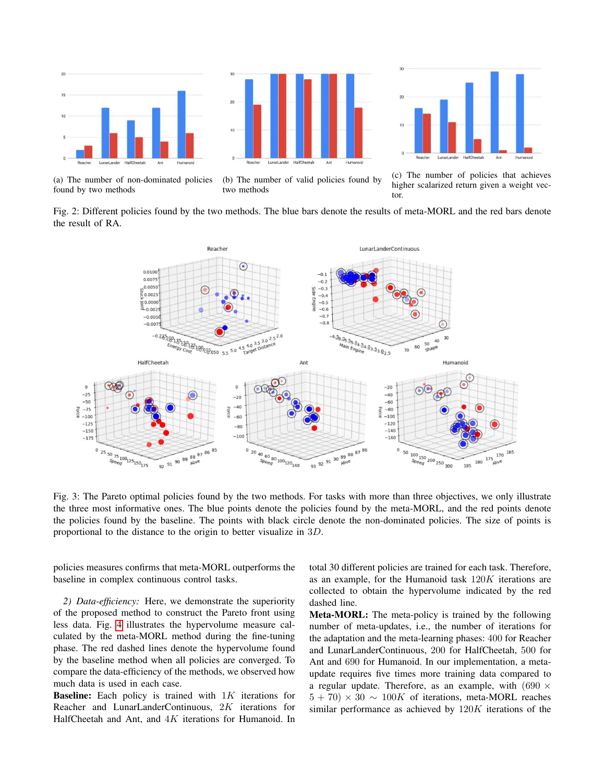<span id="page-4-1"></span>



(a) The number of non-dominated policies found by two methods

(b) The number of valid policies found by two methods

(c) The number of policies that achieves higher scalarized return given a weight vector.

Fig. 2: Different policies found by the two methods. The blue bars denote the results of meta-MORL and the red bars denote the result of RA.

<span id="page-4-0"></span>

Fig. 3: The Pareto optimal policies found by the two methods. For tasks with more than three objectives, we only illustrate the three most informative ones. The blue points denote the policies found by the meta-MORL, and the red points denote the policies found by the baseline. The points with black circle denote the non-dominated policies. The size of points is proportional to the distance to the origin to better visualize in 3D.

policies measures confirms that meta-MORL outperforms the baseline in complex continuous control tasks.

*2) Data-efficiency:* Here, we demonstrate the superiority of the proposed method to construct the Pareto front using less data. Fig. [4](#page-5-2) illustrates the hypervolume measure calculated by the meta-MORL method during the fine-tuning phase. The red dashed lines denote the hypervolume found by the baseline method when all policies are converged. To compare the data-efficiency of the methods, we observed how much data is used in each case.

**Baseline:** Each policy is trained with  $1K$  iterations for Reacher and LunarLanderContinuous, 2K iterations for HalfCheetah and Ant, and  $4K$  iterations for Humanoid. In

total 30 different policies are trained for each task. Therefore, as an example, for the Humanoid task 120K iterations are collected to obtain the hypervolume indicated by the red dashed line.

Meta-MORL: The meta-policy is trained by the following number of meta-updates, i.e., the number of iterations for the adaptation and the meta-learning phases: 400 for Reacher and LunarLanderContinuous, 200 for HalfCheetah, 500 for Ant and 690 for Humanoid. In our implementation, a metaupdate requires five times more training data compared to a regular update. Therefore, as an example, with  $(690 \times$  $5 + 70 \times 30 \sim 100K$  of iterations, meta-MORL reaches similar performance as achieved by 120K iterations of the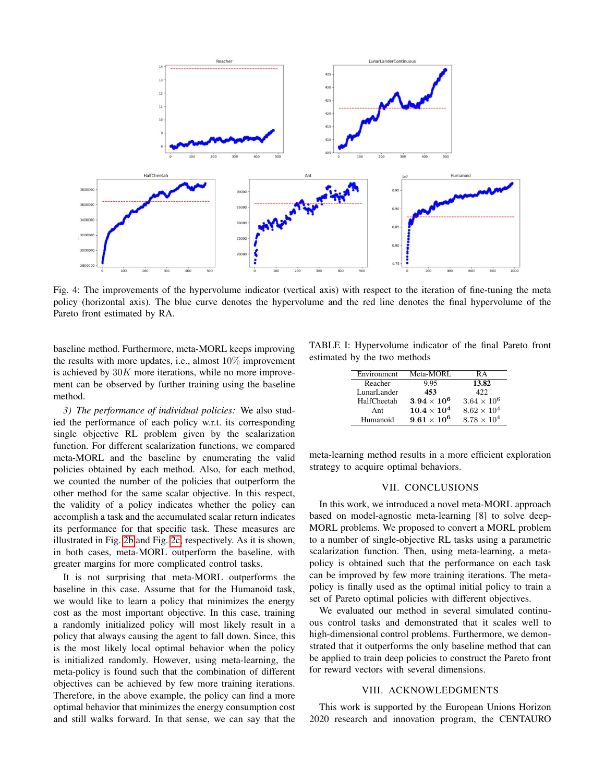<span id="page-5-2"></span>

Fig. 4: The improvements of the hypervolume indicator (vertical axis) with respect to the iteration of fine-tuning the meta policy (horizontal axis). The blue curve denotes the hypervolume and the red line denotes the final hypervolume of the Pareto front estimated by RA.

baseline method. Furthermore, meta-MORL keeps improving the results with more updates, i.e., almost 10% improvement is achieved by  $30K$  more iterations, while no more improvement can be observed by further training using the baseline method.

*3) The performance of individual policies:* We also studied the performance of each policy w.r.t. its corresponding single objective RL problem given by the scalarization function. For different scalarization functions, we compared meta-MORL and the baseline by enumerating the valid policies obtained by each method. Also, for each method, we counted the number of the policies that outperform the other method for the same scalar objective. In this respect, the validity of a policy indicates whether the policy can accomplish a task and the accumulated scalar return indicates its performance for that specific task. These measures are illustrated in Fig. [2b](#page-4-1) and Fig. [2c,](#page-4-1) respectively. As it is shown, in both cases, meta-MORL outperform the baseline, with greater margins for more complicated control tasks.

It is not surprising that meta-MORL outperforms the baseline in this case. Assume that for the Humanoid task, we would like to learn a policy that minimizes the energy cost as the most important objective. In this case, training a randomly initialized policy will most likely result in a policy that always causing the agent to fall down. Since, this is the most likely local optimal behavior when the policy is initialized randomly. However, using meta-learning, the meta-policy is found such that the combination of different objectives can be achieved by few more training iterations. Therefore, in the above example, the policy can find a more optimal behavior that minimizes the energy consumption cost and still walks forward. In that sense, we can say that the

<span id="page-5-1"></span>TABLE I: Hypervolume indicator of the final Pareto front estimated by the two methods

| Environment | Meta-MORL            | RА                   |
|-------------|----------------------|----------------------|
| Reacher     | 9.95                 | 13.82                |
| LunarLander | 453                  | 422.                 |
| HalfCheetah | $3.94\times10^6$     | $3.64 \times 10^{6}$ |
| Ant         | $10.4 \times 10^{4}$ | $8.62 \times 10^{4}$ |
| Humanoid    | $9.61 \times 10^{6}$ | $8.78 \times 10^{4}$ |

meta-learning method results in a more efficient exploration strategy to acquire optimal behaviors.

## VII. CONCLUSIONS

<span id="page-5-0"></span>In this work, we introduced a novel meta-MORL approach based on model-agnostic meta-learning [8] to solve deep-MORL problems. We proposed to convert a MORL problem to a number of single-objective RL tasks using a parametric scalarization function. Then, using meta-learning, a metapolicy is obtained such that the performance on each task can be improved by few more training iterations. The metapolicy is finally used as the optimal initial policy to train a set of Pareto optimal policies with different objectives.

We evaluated our method in several simulated continuous control tasks and demonstrated that it scales well to high-dimensional control problems. Furthermore, we demonstrated that it outperforms the only baseline method that can be applied to train deep policies to construct the Pareto front for reward vectors with several dimensions.

## VIII. ACKNOWLEDGMENTS

This work is supported by the European Unions Horizon 2020 research and innovation program, the CENTAURO